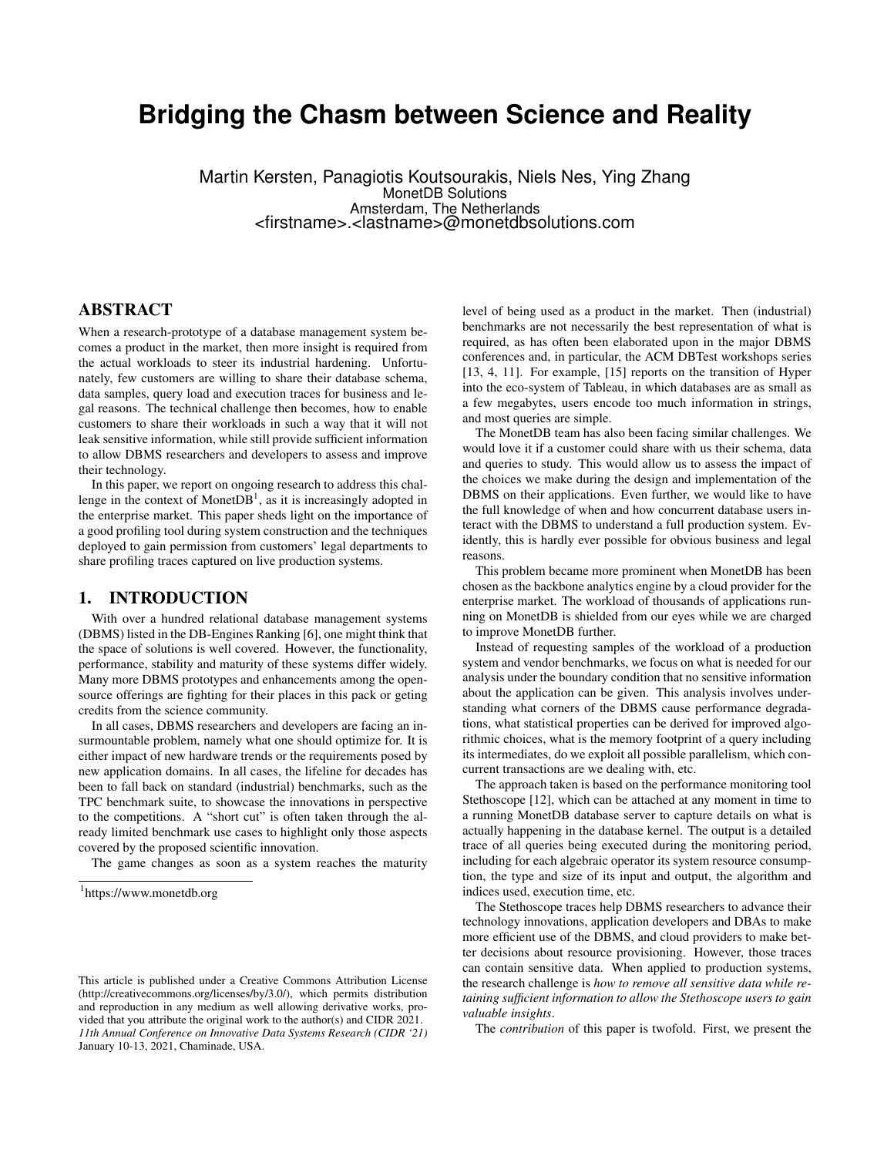# **Bridging the Chasm between Science and Reality**

Martin Kersten, Panagiotis Koutsourakis, Niels Nes, Ying Zhang MonetDB Solutions Amsterdam, The Netherlands <firstname>.<lastname>@monetdbsolutions.com

# ABSTRACT

When a research-prototype of a database management system becomes a product in the market, then more insight is required from the actual workloads to steer its industrial hardening. Unfortunately, few customers are willing to share their database schema, data samples, query load and execution traces for business and legal reasons. The technical challenge then becomes, how to enable customers to share their workloads in such a way that it will not leak sensitive information, while still provide sufficient information to allow DBMS researchers and developers to assess and improve their technology.

In this paper, we report on ongoing research to address this challenge in the context of Monet $DB<sup>1</sup>$ , as it is increasingly adopted in the enterprise market. This paper sheds light on the importance of a good profiling tool during system construction and the techniques deployed to gain permission from customers' legal departments to share profiling traces captured on live production systems.

## 1. INTRODUCTION

With over a hundred relational database management systems (DBMS) listed in the DB-Engines Ranking [6], one might think that the space of solutions is well covered. However, the functionality, performance, stability and maturity of these systems differ widely. Many more DBMS prototypes and enhancements among the opensource offerings are fighting for their places in this pack or geting credits from the science community.

In all cases, DBMS researchers and developers are facing an insurmountable problem, namely what one should optimize for. It is either impact of new hardware trends or the requirements posed by new application domains. In all cases, the lifeline for decades has been to fall back on standard (industrial) benchmarks, such as the TPC benchmark suite, to showcase the innovations in perspective to the competitions. A "short cut" is often taken through the already limited benchmark use cases to highlight only those aspects covered by the proposed scientific innovation.

The game changes as soon as a system reaches the maturity

level of being used as a product in the market. Then (industrial) benchmarks are not necessarily the best representation of what is required, as has often been elaborated upon in the major DBMS conferences and, in particular, the ACM DBTest workshops series [13, 4, 11]. For example, [15] reports on the transition of Hyper into the eco-system of Tableau, in which databases are as small as a few megabytes, users encode too much information in strings, and most queries are simple.

The MonetDB team has also been facing similar challenges. We would love it if a customer could share with us their schema, data and queries to study. This would allow us to assess the impact of the choices we make during the design and implementation of the DBMS on their applications. Even further, we would like to have the full knowledge of when and how concurrent database users interact with the DBMS to understand a full production system. Evidently, this is hardly ever possible for obvious business and legal reasons.

This problem became more prominent when MonetDB has been chosen as the backbone analytics engine by a cloud provider for the enterprise market. The workload of thousands of applications running on MonetDB is shielded from our eyes while we are charged to improve MonetDB further.

Instead of requesting samples of the workload of a production system and vendor benchmarks, we focus on what is needed for our analysis under the boundary condition that no sensitive information about the application can be given. This analysis involves understanding what corners of the DBMS cause performance degradations, what statistical properties can be derived for improved algorithmic choices, what is the memory footprint of a query including its intermediates, do we exploit all possible parallelism, which concurrent transactions are we dealing with, etc.

The approach taken is based on the performance monitoring tool Stethoscope [12], which can be attached at any moment in time to a running MonetDB database server to capture details on what is actually happening in the database kernel. The output is a detailed trace of all queries being executed during the monitoring period, including for each algebraic operator its system resource consumption, the type and size of its input and output, the algorithm and indices used, execution time, etc.

The Stethoscope traces help DBMS researchers to advance their technology innovations, application developers and DBAs to make more efficient use of the DBMS, and cloud providers to make better decisions about resource provisioning. However, those traces can contain sensitive data. When applied to production systems, the research challenge is *how to remove all sensitive data while retaining sufficient information to allow the Stethoscope users to gain valuable insights*.

The *contribution* of this paper is twofold. First, we present the

<sup>1</sup> https://www.monetdb.org

This article is published under a Creative Commons Attribution License (http://creativecommons.org/licenses/by/3.0/), which permits distribution and reproduction in any medium as well allowing derivative works, provided that you attribute the original work to the author(s) and CIDR 2021. *11th Annual Conference on Innovative Data Systems Research (CIDR '21)* January 10-13, 2021, Chaminade, USA.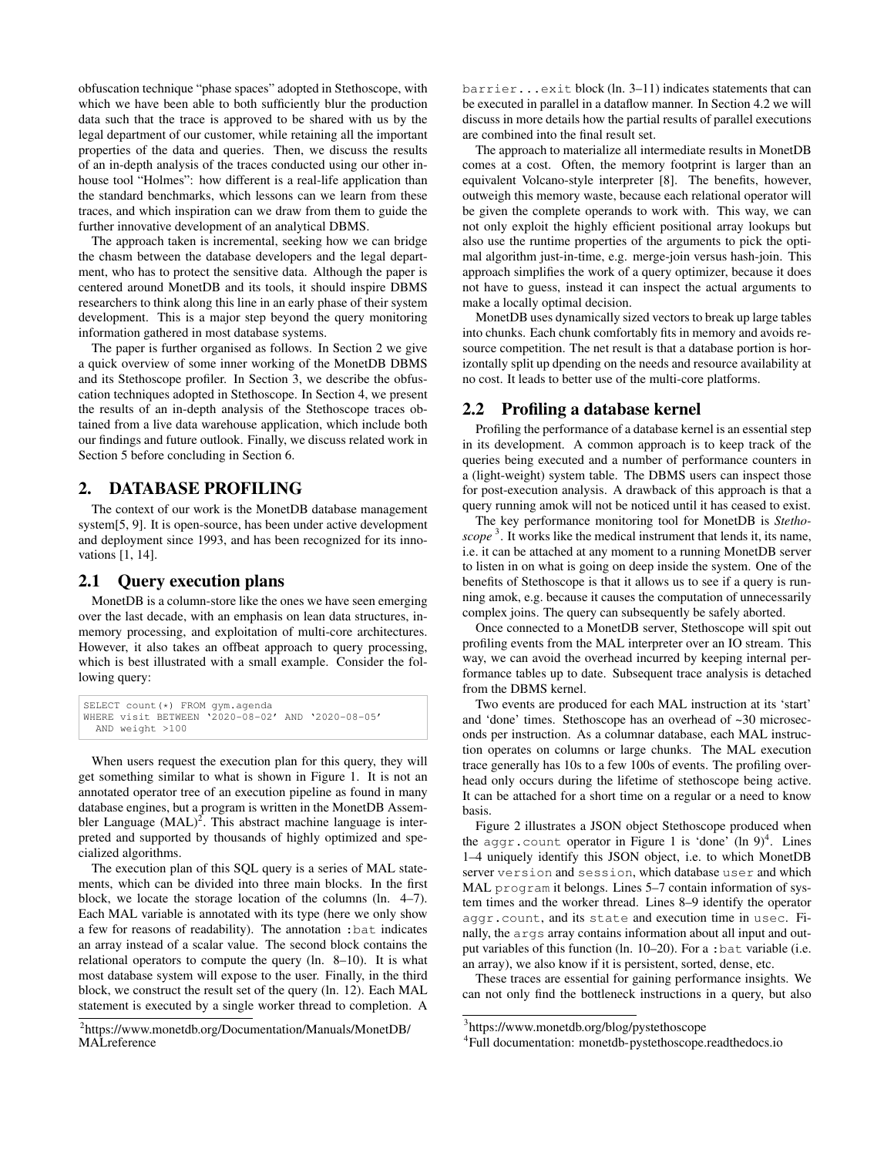obfuscation technique "phase spaces" adopted in Stethoscope, with which we have been able to both sufficiently blur the production data such that the trace is approved to be shared with us by the legal department of our customer, while retaining all the important properties of the data and queries. Then, we discuss the results of an in-depth analysis of the traces conducted using our other inhouse tool "Holmes": how different is a real-life application than the standard benchmarks, which lessons can we learn from these traces, and which inspiration can we draw from them to guide the further innovative development of an analytical DBMS.

The approach taken is incremental, seeking how we can bridge the chasm between the database developers and the legal department, who has to protect the sensitive data. Although the paper is centered around MonetDB and its tools, it should inspire DBMS researchers to think along this line in an early phase of their system development. This is a major step beyond the query monitoring information gathered in most database systems.

The paper is further organised as follows. In Section 2 we give a quick overview of some inner working of the MonetDB DBMS and its Stethoscope profiler. In Section 3, we describe the obfuscation techniques adopted in Stethoscope. In Section 4, we present the results of an in-depth analysis of the Stethoscope traces obtained from a live data warehouse application, which include both our findings and future outlook. Finally, we discuss related work in Section 5 before concluding in Section 6.

#### 2. DATABASE PROFILING

The context of our work is the MonetDB database management system[5, 9]. It is open-source, has been under active development and deployment since 1993, and has been recognized for its innovations [1, 14].

#### 2.1 Query execution plans

MonetDB is a column-store like the ones we have seen emerging over the last decade, with an emphasis on lean data structures, inmemory processing, and exploitation of multi-core architectures. However, it also takes an offbeat approach to query processing, which is best illustrated with a small example. Consider the following query:

```
SELECT count(*) FROM gym.agenda
WHERE visit BETWEEN '2020-08-02' AND '2020-08-05'
  AND weight >100
```
When users request the execution plan for this query, they will get something similar to what is shown in Figure 1. It is not an annotated operator tree of an execution pipeline as found in many database engines, but a program is written in the MonetDB Assembler Language  $(MAL)^2$ . This abstract machine language is interpreted and supported by thousands of highly optimized and specialized algorithms.

The execution plan of this SQL query is a series of MAL statements, which can be divided into three main blocks. In the first block, we locate the storage location of the columns (ln. 4–7). Each MAL variable is annotated with its type (here we only show a few for reasons of readability). The annotation :bat indicates an array instead of a scalar value. The second block contains the relational operators to compute the query (ln. 8–10). It is what most database system will expose to the user. Finally, in the third block, we construct the result set of the query (ln. 12). Each MAL statement is executed by a single worker thread to completion. A

barrier...exit block (ln. 3–11) indicates statements that can be executed in parallel in a dataflow manner. In Section 4.2 we will discuss in more details how the partial results of parallel executions are combined into the final result set.

The approach to materialize all intermediate results in MonetDB comes at a cost. Often, the memory footprint is larger than an equivalent Volcano-style interpreter [8]. The benefits, however, outweigh this memory waste, because each relational operator will be given the complete operands to work with. This way, we can not only exploit the highly efficient positional array lookups but also use the runtime properties of the arguments to pick the optimal algorithm just-in-time, e.g. merge-join versus hash-join. This approach simplifies the work of a query optimizer, because it does not have to guess, instead it can inspect the actual arguments to make a locally optimal decision.

MonetDB uses dynamically sized vectors to break up large tables into chunks. Each chunk comfortably fits in memory and avoids resource competition. The net result is that a database portion is horizontally split up dpending on the needs and resource availability at no cost. It leads to better use of the multi-core platforms.

## 2.2 Profiling a database kernel

Profiling the performance of a database kernel is an essential step in its development. A common approach is to keep track of the queries being executed and a number of performance counters in a (light-weight) system table. The DBMS users can inspect those for post-execution analysis. A drawback of this approach is that a query running amok will not be noticed until it has ceased to exist.

The key performance monitoring tool for MonetDB is *Stetho*scope<sup>3</sup>. It works like the medical instrument that lends it, its name, i.e. it can be attached at any moment to a running MonetDB server to listen in on what is going on deep inside the system. One of the benefits of Stethoscope is that it allows us to see if a query is running amok, e.g. because it causes the computation of unnecessarily complex joins. The query can subsequently be safely aborted.

Once connected to a MonetDB server, Stethoscope will spit out profiling events from the MAL interpreter over an IO stream. This way, we can avoid the overhead incurred by keeping internal performance tables up to date. Subsequent trace analysis is detached from the DBMS kernel.

Two events are produced for each MAL instruction at its 'start' and 'done' times. Stethoscope has an overhead of ~30 microseconds per instruction. As a columnar database, each MAL instruction operates on columns or large chunks. The MAL execution trace generally has 10s to a few 100s of events. The profiling overhead only occurs during the lifetime of stethoscope being active. It can be attached for a short time on a regular or a need to know basis.

Figure 2 illustrates a JSON object Stethoscope produced when the aggr.count operator in Figure 1 is 'done' (ln  $9)^4$ . Lines 1–4 uniquely identify this JSON object, i.e. to which MonetDB server version and session, which database user and which MAL program it belongs. Lines 5–7 contain information of system times and the worker thread. Lines 8–9 identify the operator aggr.count, and its state and execution time in usec. Finally, the args array contains information about all input and output variables of this function (ln. 10–20). For a :bat variable (i.e. an array), we also know if it is persistent, sorted, dense, etc.

These traces are essential for gaining performance insights. We can not only find the bottleneck instructions in a query, but also

<sup>&</sup>lt;sup>2</sup>https://www.monetdb.org/Documentation/Manuals/MonetDB/ MAI reference

<sup>3</sup> https://www.monetdb.org/blog/pystethoscope

<sup>4</sup> Full documentation: monetdb-pystethoscope.readthedocs.io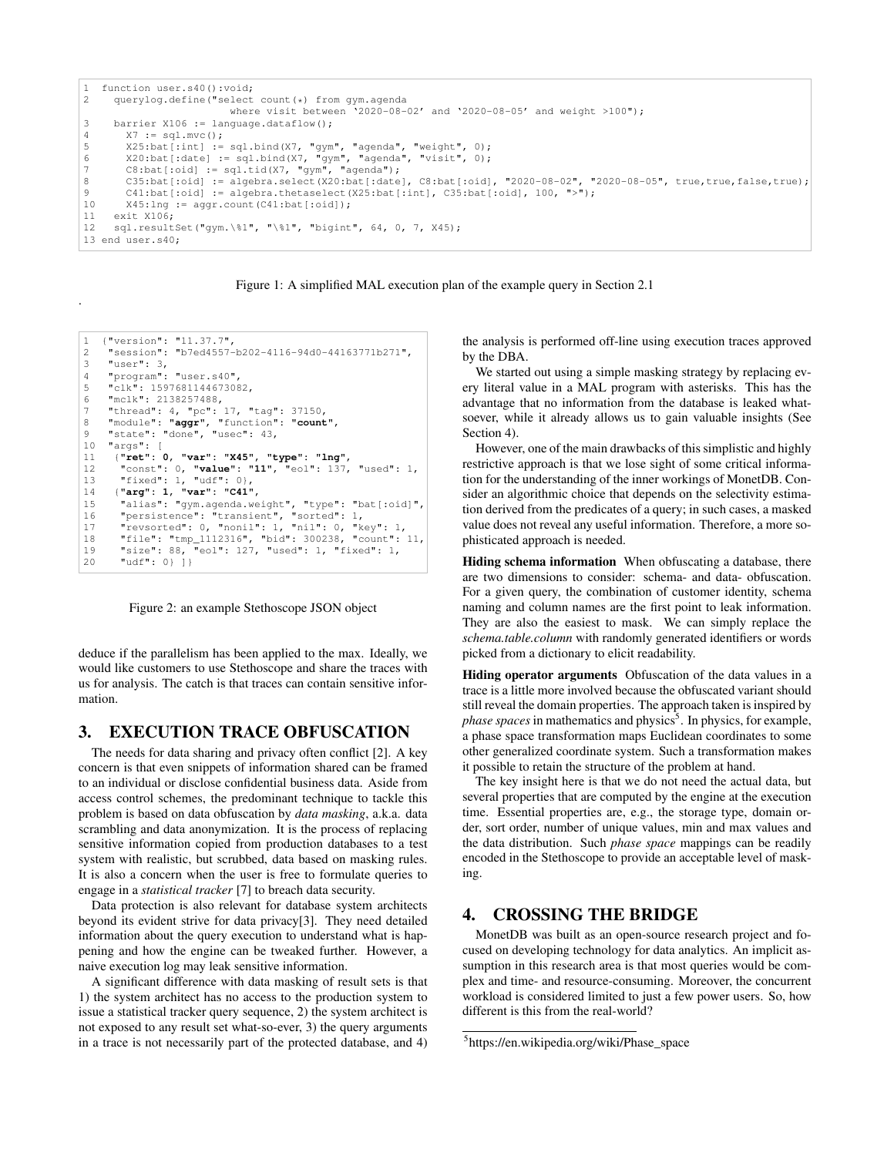```
1 function user.s40():void;<br>2 querylog.define("select
      2 querylog.define("select count(*) from gym.agenda
                                where visit between '2020-08-02' and '2020-08-05' and weight >100");
3 barrier X106 := language.dataflow();<br>4 X7 := \text{sal.mvc}();
         X7 := sq1.mvc();5 X25:bat[:int] := sql.bind(X7, "gym", "agenda", "weight", 0);
6 X20:bat[:date] := sql.bind(X7, "gym", "agenda", "visit", 0);
7 C8:bat[:oid] := sq1.tid(X7, "gym", "agenda");8 C35:bat[:oid] := algebra.select(X20:bat[:date], C8:bat[:oid], "2020-08-02", "2020-08-05", true,true,false,true);<br>9 C41:bat[:oid] := algebra.thetaselect(X25:bat[:intl, C35:bat[:oid], 100, ">");
9 C41:bat[:oid] := algebra.thetaselect(X25:bat[:int], C35:bat[:oid], 100, ">");<br>10 X45:lng := aggr.count(C41:bat[:oid]);
         X45:ln\sigma := a\sigma\sigma r.count(C41:bat[:oid]);
11 exit X106;
12 sql.resultSet("gym.\%1", "\%1", "bigint", 64, 0, 7, X45);
13 end user.s40;
```
Figure 1: A simplified MAL execution plan of the example query in Section 2.1

```
1 {"version": "11.37.7",
2 "session": "b7ed4557-b202-4116-94d0-44163771b271",
3 "user": 3,
4 "program": "user.s40",
5 "clk": 1597681144673082,
6 "mclk": 2138257488,
7 "thread": 4, "pc": 17, "tag": 37150,
8 "module": "aggr", "function": "count",
9 "state": "done", "usec": 43,
10 "args": [
11 {"ret": 0, "var": "X45", "type": "lng",
12 "const": 0, "value": "11", "eol": 137, "used": 1,
13 "fixed": 1, "udf": 0},
14 {"arg": 1, "var": "C41",
15 "alias": "gym.agenda.weight", "type": "bat[:oid]",
16 "persistence": "transient", "sorted": 1,
17 "revsorted": 0, "nonil": 1, "nil": 0, "key": 1,
18 "file": "tmp_1112316", "bid": 300238, "count": 11,
19 "size": 88, "eol": 127, "used": 1, "fixed": 1,<br>20    "udf": 0} 1}
       "udf": 0\} ]
```
.

Figure 2: an example Stethoscope JSON object

deduce if the parallelism has been applied to the max. Ideally, we would like customers to use Stethoscope and share the traces with us for analysis. The catch is that traces can contain sensitive information.

#### 3. EXECUTION TRACE OBFUSCATION

The needs for data sharing and privacy often conflict [2]. A key concern is that even snippets of information shared can be framed to an individual or disclose confidential business data. Aside from access control schemes, the predominant technique to tackle this problem is based on data obfuscation by *data masking*, a.k.a. data scrambling and data anonymization. It is the process of replacing sensitive information copied from production databases to a test system with realistic, but scrubbed, data based on masking rules. It is also a concern when the user is free to formulate queries to engage in a *statistical tracker* [7] to breach data security.

Data protection is also relevant for database system architects beyond its evident strive for data privacy[3]. They need detailed information about the query execution to understand what is happening and how the engine can be tweaked further. However, a naive execution log may leak sensitive information.

A significant difference with data masking of result sets is that 1) the system architect has no access to the production system to issue a statistical tracker query sequence, 2) the system architect is not exposed to any result set what-so-ever, 3) the query arguments in a trace is not necessarily part of the protected database, and 4) the analysis is performed off-line using execution traces approved by the DBA.

We started out using a simple masking strategy by replacing every literal value in a MAL program with asterisks. This has the advantage that no information from the database is leaked whatsoever, while it already allows us to gain valuable insights (See Section 4).

However, one of the main drawbacks of this simplistic and highly restrictive approach is that we lose sight of some critical information for the understanding of the inner workings of MonetDB. Consider an algorithmic choice that depends on the selectivity estimation derived from the predicates of a query; in such cases, a masked value does not reveal any useful information. Therefore, a more sophisticated approach is needed.

Hiding schema information When obfuscating a database, there are two dimensions to consider: schema- and data- obfuscation. For a given query, the combination of customer identity, schema naming and column names are the first point to leak information. They are also the easiest to mask. We can simply replace the *schema.table.column* with randomly generated identifiers or words picked from a dictionary to elicit readability.

Hiding operator arguments Obfuscation of the data values in a trace is a little more involved because the obfuscated variant should still reveal the domain properties. The approach taken is inspired by phase spaces in mathematics and physics<sup>5</sup>. In physics, for example, a phase space transformation maps Euclidean coordinates to some other generalized coordinate system. Such a transformation makes it possible to retain the structure of the problem at hand.

The key insight here is that we do not need the actual data, but several properties that are computed by the engine at the execution time. Essential properties are, e.g., the storage type, domain order, sort order, number of unique values, min and max values and the data distribution. Such *phase space* mappings can be readily encoded in the Stethoscope to provide an acceptable level of masking.

# 4. CROSSING THE BRIDGE

MonetDB was built as an open-source research project and focused on developing technology for data analytics. An implicit assumption in this research area is that most queries would be complex and time- and resource-consuming. Moreover, the concurrent workload is considered limited to just a few power users. So, how different is this from the real-world?

<sup>&</sup>lt;sup>5</sup>https://en.wikipedia.org/wiki/Phase\_space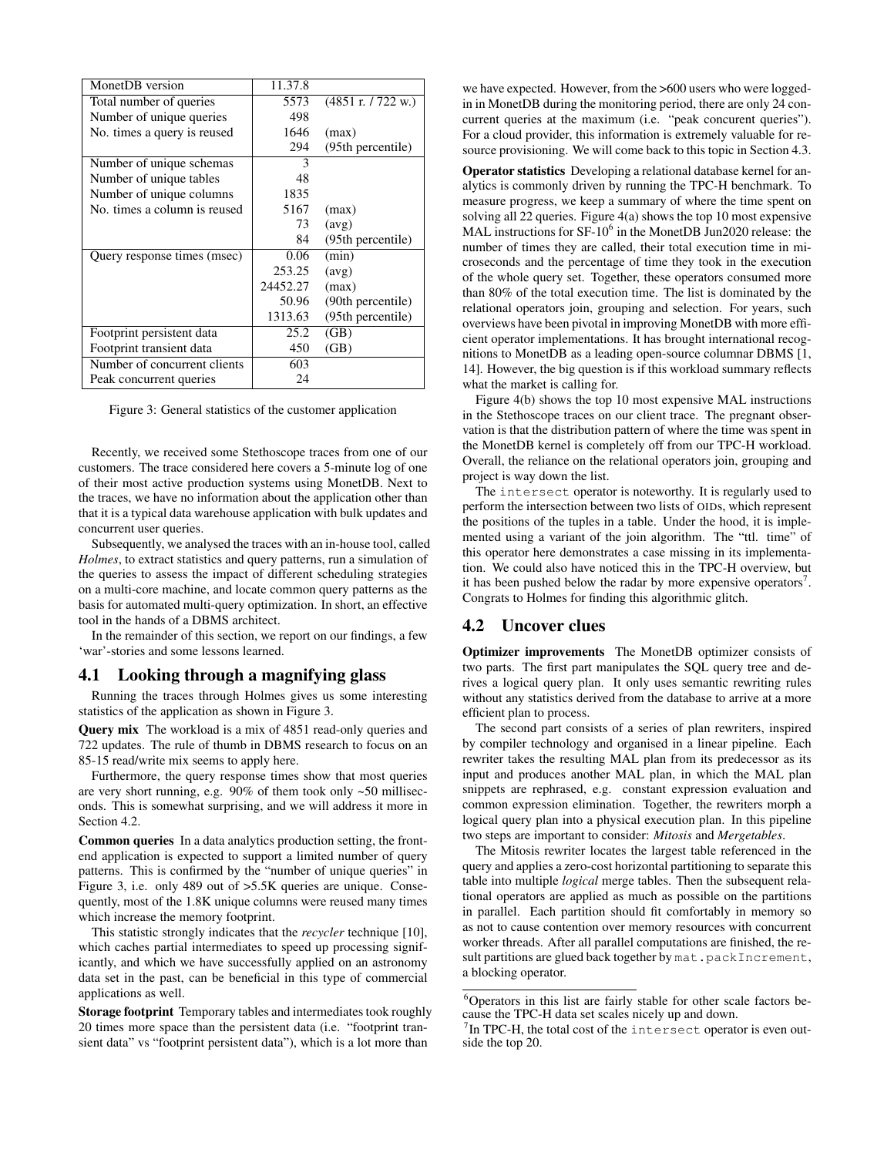| MonetDB version              | 11.37.8  |                    |
|------------------------------|----------|--------------------|
| Total number of queries      | 5573     | (4851 r. / 722 w.) |
| Number of unique queries     | 498      |                    |
| No. times a query is reused  | 1646     | (max)              |
|                              | 294      | (95th percentile)  |
| Number of unique schemas     | 3        |                    |
| Number of unique tables      | 48       |                    |
| Number of unique columns     | 1835     |                    |
| No. times a column is reused | 5167     | (max)              |
|                              | 73       | (avg)              |
|                              | 84       | (95th percentile)  |
| Query response times (msec)  | 0.06     | (min)              |
|                              | 253.25   | (avg)              |
|                              | 24452.27 | (max)              |
|                              | 50.96    | (90th percentile)  |
|                              | 1313.63  | (95th percentile)  |
| Footprint persistent data    | 25.2     | (GB)               |
| Footprint transient data     | 450      | (GB)               |
| Number of concurrent clients | 603      |                    |
| Peak concurrent queries      | 24       |                    |

Figure 3: General statistics of the customer application

Recently, we received some Stethoscope traces from one of our customers. The trace considered here covers a 5-minute log of one of their most active production systems using MonetDB. Next to the traces, we have no information about the application other than that it is a typical data warehouse application with bulk updates and concurrent user queries.

Subsequently, we analysed the traces with an in-house tool, called *Holmes*, to extract statistics and query patterns, run a simulation of the queries to assess the impact of different scheduling strategies on a multi-core machine, and locate common query patterns as the basis for automated multi-query optimization. In short, an effective tool in the hands of a DBMS architect.

In the remainder of this section, we report on our findings, a few 'war'-stories and some lessons learned.

## 4.1 Looking through a magnifying glass

Running the traces through Holmes gives us some interesting statistics of the application as shown in Figure 3.

Query mix The workload is a mix of 4851 read-only queries and 722 updates. The rule of thumb in DBMS research to focus on an 85-15 read/write mix seems to apply here.

Furthermore, the query response times show that most queries are very short running, e.g. 90% of them took only ~50 milliseconds. This is somewhat surprising, and we will address it more in Section 4.2.

Common queries In a data analytics production setting, the frontend application is expected to support a limited number of query patterns. This is confirmed by the "number of unique queries" in Figure 3, i.e. only 489 out of >5.5K queries are unique. Consequently, most of the 1.8K unique columns were reused many times which increase the memory footprint.

This statistic strongly indicates that the *recycler* technique [10], which caches partial intermediates to speed up processing significantly, and which we have successfully applied on an astronomy data set in the past, can be beneficial in this type of commercial applications as well.

Storage footprint Temporary tables and intermediates took roughly 20 times more space than the persistent data (i.e. "footprint transient data" vs "footprint persistent data"), which is a lot more than

we have expected. However, from the >600 users who were loggedin in MonetDB during the monitoring period, there are only 24 concurrent queries at the maximum (i.e. "peak concurent queries"). For a cloud provider, this information is extremely valuable for resource provisioning. We will come back to this topic in Section 4.3.

Operator statistics Developing a relational database kernel for analytics is commonly driven by running the TPC-H benchmark. To measure progress, we keep a summary of where the time spent on solving all 22 queries. Figure 4(a) shows the top 10 most expensive MAL instructions for  $SF-10^6$  in the MonetDB Jun2020 release: the number of times they are called, their total execution time in microseconds and the percentage of time they took in the execution of the whole query set. Together, these operators consumed more than 80% of the total execution time. The list is dominated by the relational operators join, grouping and selection. For years, such overviews have been pivotal in improving MonetDB with more efficient operator implementations. It has brought international recognitions to MonetDB as a leading open-source columnar DBMS [1, 14]. However, the big question is if this workload summary reflects what the market is calling for.

Figure 4(b) shows the top 10 most expensive MAL instructions in the Stethoscope traces on our client trace. The pregnant observation is that the distribution pattern of where the time was spent in the MonetDB kernel is completely off from our TPC-H workload. Overall, the reliance on the relational operators join, grouping and project is way down the list.

The intersect operator is noteworthy. It is regularly used to perform the intersection between two lists of OIDs, which represent the positions of the tuples in a table. Under the hood, it is implemented using a variant of the join algorithm. The "ttl. time" of this operator here demonstrates a case missing in its implementation. We could also have noticed this in the TPC-H overview, but it has been pushed below the radar by more expensive operators<sup>7</sup>. Congrats to Holmes for finding this algorithmic glitch.

## 4.2 Uncover clues

Optimizer improvements The MonetDB optimizer consists of two parts. The first part manipulates the SQL query tree and derives a logical query plan. It only uses semantic rewriting rules without any statistics derived from the database to arrive at a more efficient plan to process.

The second part consists of a series of plan rewriters, inspired by compiler technology and organised in a linear pipeline. Each rewriter takes the resulting MAL plan from its predecessor as its input and produces another MAL plan, in which the MAL plan snippets are rephrased, e.g. constant expression evaluation and common expression elimination. Together, the rewriters morph a logical query plan into a physical execution plan. In this pipeline two steps are important to consider: *Mitosis* and *Mergetables*.

The Mitosis rewriter locates the largest table referenced in the query and applies a zero-cost horizontal partitioning to separate this table into multiple *logical* merge tables. Then the subsequent relational operators are applied as much as possible on the partitions in parallel. Each partition should fit comfortably in memory so as not to cause contention over memory resources with concurrent worker threads. After all parallel computations are finished, the result partitions are glued back together by mat.packIncrement, a blocking operator.

 $6$ Operators in this list are fairly stable for other scale factors because the TPC-H data set scales nicely up and down.

 $7$ In TPC-H, the total cost of the intersect operator is even outside the top 20.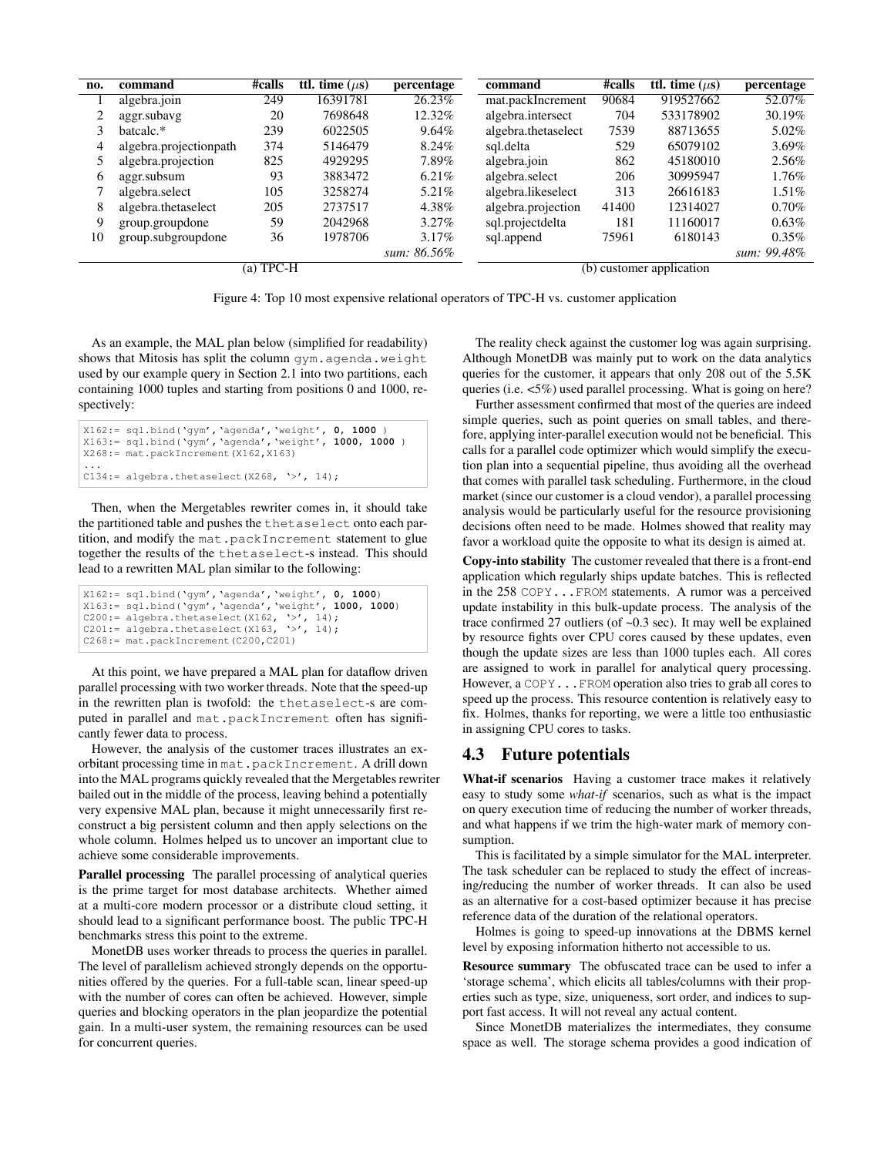| no.         | command                | #calls | <b>ttl.</b> time $(\mu s)$ | percentage               | command             | #calls | <b>ttl.</b> time $(\mu s)$ | percentage  |
|-------------|------------------------|--------|----------------------------|--------------------------|---------------------|--------|----------------------------|-------------|
|             | algebra.join           | 249    | 16391781                   | 26.23%                   | mat.packIncrement   | 90684  | 919527662                  | 52.07%      |
|             | aggr.subayg            | 20     | 7698648                    | 12.32%                   | algebra.intersect   | 704    | 533178902                  | 30.19%      |
|             | batcalc.*              | 239    | 6022505                    | $9.64\%$                 | algebra.thetaselect | 7539   | 88713655                   | $5.02\%$    |
| 4           | algebra.projectionpath | 374    | 5146479                    | 8.24%                    | sql.delta           | 529    | 65079102                   | $3.69\%$    |
|             | algebra.projection     | 825    | 4929295                    | 7.89%                    | algebra.join        | 862    | 45180010                   | $2.56\%$    |
| 6           | aggr.subsum            | 93     | 3883472                    | $6.21\%$                 | algebra.select      | 206    | 30995947                   | 1.76%       |
|             | algebra.select         | 105    | 3258274                    | 5.21\%                   | algebra.likeselect  | 313    | 26616183                   | $1.51\%$    |
| 8           | algebra.thetaselect    | 205    | 2737517                    | 4.38%                    | algebra.projection  | 41400  | 12314027                   | $0.70\%$    |
| 9           | group.groupdone        | 59     | 2042968                    | $3.27\%$                 | sql.projectdelta    | 181    | 11160017                   | $0.63\%$    |
| 10          | group.subgroupdone     | 36     | 1978706                    | $3.17\%$                 | sql.append          | 75961  | 6180143                    | $0.35\%$    |
|             |                        |        |                            | sum: 86.56%              |                     |        |                            | sum: 99.48% |
| $(a)$ TPC-H |                        |        |                            | (b) customer application |                     |        |                            |             |

Figure 4: Top 10 most expensive relational operators of TPC-H vs. customer application

As an example, the MAL plan below (simplified for readability) shows that Mitosis has split the column gym.agenda.weight used by our example query in Section 2.1 into two partitions, each containing 1000 tuples and starting from positions 0 and 1000, respectively:

```
X162:= sql.bind('gym','agenda','weight', 0, 1000 )
X163:= sql.bind('gym','agenda','weight', 1000, 1000 )
X268:= mat.packIncrement(X162,X163)
...
C134:= algebra.thetaselect(X268, '>', 14);
```
Then, when the Mergetables rewriter comes in, it should take the partitioned table and pushes the thetaselect onto each partition, and modify the mat.packIncrement statement to glue together the results of the thetaselect-s instead. This should lead to a rewritten MAL plan similar to the following:

```
X162:= sql.bind('gym','agenda','weight', 0, 1000)
X163:= sql.bind('gym','agenda','weight', 1000, 1000)
C200:= algebra.thetaselect(X162, '>', 14);
C201:= algebra.thetaselect(X163, '>', 14);
C268:= mat.packIncrement(C200,C201)
```
At this point, we have prepared a MAL plan for dataflow driven parallel processing with two worker threads. Note that the speed-up in the rewritten plan is twofold: the thetaselect-s are computed in parallel and mat.packIncrement often has significantly fewer data to process.

However, the analysis of the customer traces illustrates an exorbitant processing time in mat.packIncrement. A drill down into the MAL programs quickly revealed that the Mergetables rewriter bailed out in the middle of the process, leaving behind a potentially very expensive MAL plan, because it might unnecessarily first reconstruct a big persistent column and then apply selections on the whole column. Holmes helped us to uncover an important clue to achieve some considerable improvements.

Parallel processing The parallel processing of analytical queries is the prime target for most database architects. Whether aimed at a multi-core modern processor or a distribute cloud setting, it should lead to a significant performance boost. The public TPC-H benchmarks stress this point to the extreme.

MonetDB uses worker threads to process the queries in parallel. The level of parallelism achieved strongly depends on the opportunities offered by the queries. For a full-table scan, linear speed-up with the number of cores can often be achieved. However, simple queries and blocking operators in the plan jeopardize the potential gain. In a multi-user system, the remaining resources can be used for concurrent queries.

The reality check against the customer log was again surprising. Although MonetDB was mainly put to work on the data analytics queries for the customer, it appears that only 208 out of the 5.5K queries (i.e. <5%) used parallel processing. What is going on here?

Further assessment confirmed that most of the queries are indeed simple queries, such as point queries on small tables, and therefore, applying inter-parallel execution would not be beneficial. This calls for a parallel code optimizer which would simplify the execution plan into a sequential pipeline, thus avoiding all the overhead that comes with parallel task scheduling. Furthermore, in the cloud market (since our customer is a cloud vendor), a parallel processing analysis would be particularly useful for the resource provisioning decisions often need to be made. Holmes showed that reality may favor a workload quite the opposite to what its design is aimed at.

Copy-into stability The customer revealed that there is a front-end application which regularly ships update batches. This is reflected in the 258 COPY...FROM statements. A rumor was a perceived update instability in this bulk-update process. The analysis of the trace confirmed 27 outliers (of  $\sim 0.3$  sec). It may well be explained by resource fights over CPU cores caused by these updates, even though the update sizes are less than 1000 tuples each. All cores are assigned to work in parallel for analytical query processing. However, a COPY...FROM operation also tries to grab all cores to speed up the process. This resource contention is relatively easy to fix. Holmes, thanks for reporting, we were a little too enthusiastic in assigning CPU cores to tasks.

#### 4.3 Future potentials

What-if scenarios Having a customer trace makes it relatively easy to study some *what-if* scenarios, such as what is the impact on query execution time of reducing the number of worker threads, and what happens if we trim the high-water mark of memory consumption.

This is facilitated by a simple simulator for the MAL interpreter. The task scheduler can be replaced to study the effect of increasing/reducing the number of worker threads. It can also be used as an alternative for a cost-based optimizer because it has precise reference data of the duration of the relational operators.

Holmes is going to speed-up innovations at the DBMS kernel level by exposing information hitherto not accessible to us.

Resource summary The obfuscated trace can be used to infer a 'storage schema', which elicits all tables/columns with their properties such as type, size, uniqueness, sort order, and indices to support fast access. It will not reveal any actual content.

Since MonetDB materializes the intermediates, they consume space as well. The storage schema provides a good indication of